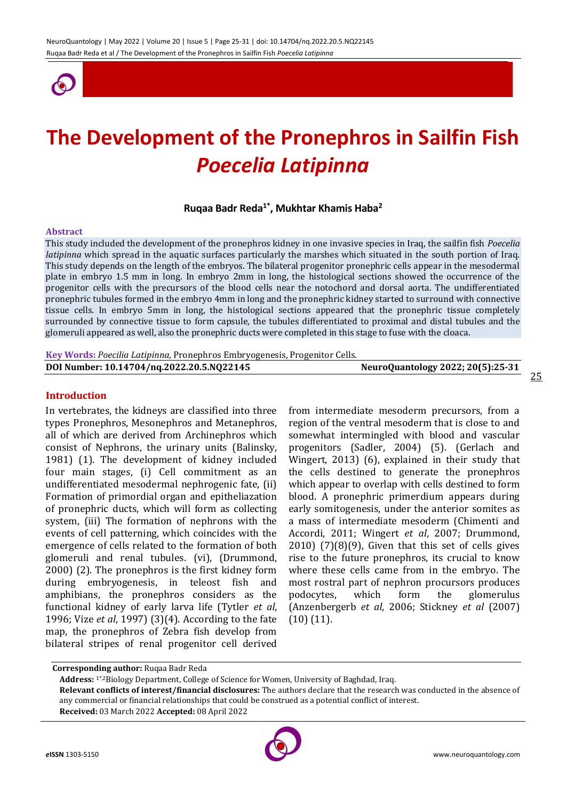

# **The Development of the Pronephros in Sailfin Fish**  *Poecelia Latipinna*

## **Ruqaa Badr Reda1\* , Mukhtar Khamis Haba<sup>2</sup>**

#### **Abstract**

This study included the development of the pronephros kidney in one invasive species in Iraq, the sailfin fish *Poecelia latipinna* which spread in the aquatic surfaces particularly the marshes which situated in the south portion of Iraq. This study depends on the length of the embryos. The bilateral progenitor pronephric cells appear in the mesodermal plate in embryo 1.5 mm in long. In embryo 2mm in long, the histological sections showed the occurrence of the progenitor cells with the precursors of the blood cells near the notochord and dorsal aorta. The undifferentiated pronephric tubules formed in the embryo 4mm in long and the pronephric kidney started to surround with connective tissue cells. In embryo 5mm in long, the histological sections appeared that the pronephric tissue completely surrounded by connective tissue to form capsule, the tubules differentiated to proximal and distal tubules and the glomeruli appeared as well, also the pronephric ducts were completed in this stage to fuse with the cloaca.

**Key Words:** *Poecilia Latipinna,* Pronephros Embryogenesis, Progenitor Cells.

| DOI Number: 10.14704/nq.2022.20.5.NQ22145 | NeuroQuantology 2022; 20(5):25-31 |
|-------------------------------------------|-----------------------------------|
|                                           |                                   |

#### **Introduction**

In vertebrates, the kidneys are classified into three types Pronephros, Mesonephros and Metanephros, all of which are derived from Archinephros which consist of Nephrons, the urinary units (Balinsky, 1981) (1). The development of kidney included four main stages, (i) Cell commitment as an undifferentiated mesodermal nephrogenic fate, (ii) Formation of primordial organ and epitheliazation of pronephric ducts, which will form as collecting system, (iii) The formation of nephrons with the events of cell patterning, which coincides with the emergence of cells related to the formation of both glomeruli and renal tubules. (vi), (Drummond, 2000) (2). The pronephros is the first kidney form during embryogenesis, in teleost fish and amphibians, the pronephros considers as the functional kidney of early larva life (Tytler *et al*, 1996; Vize *et al*, 1997) (3)(4). According to the fate map, the pronephros of Zebra fish develop from bilateral stripes of renal progenitor cell derived

from intermediate mesoderm precursors, from a region of the ventral mesoderm that is close to and somewhat intermingled with blood and vascular progenitors (Sadler, 2004) (5). (Gerlach and Wingert, 2013) (6), explained in their study that the cells destined to generate the pronephros which appear to overlap with cells destined to form blood. A pronephric primerdium appears during early somitogenesis, under the anterior somites as a mass of intermediate mesoderm (Chimenti and Accordi, 2011; Wingert *et al*, 2007; Drummond, 2010) (7)(8)(9), Given that this set of cells gives rise to the future pronephros, its crucial to know where these cells came from in the embryo. The most rostral part of nephron procursors produces podocytes, which form the glomerulus (Anzenbergerb *et al*, 2006; Stickney *et al* (2007) (10) (11).

**Address:** 1\*,2Biology Department, College of Science for Women, University of Baghdad, Iraq.

**Received:** 03 March 2022 **Accepted:** 08 April 2022



**Corresponding author:** Ruqaa Badr Reda

**Relevant conflicts of interest/financial disclosures:** The authors declare that the research was conducted in the absence of any commercial or financial relationships that could be construed as a potential conflict of interest.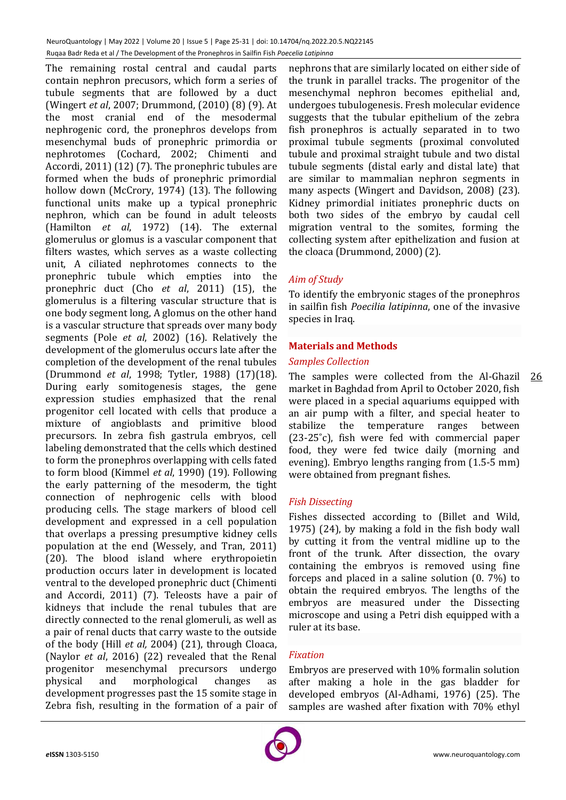The remaining rostal central and caudal parts contain nephron precusors, which form a series of tubule segments that are followed by a duct (Wingert *et al*, 2007; Drummond, (2010) (8) (9). At the most cranial end of the mesodermal nephrogenic cord, the pronephros develops from mesenchymal buds of pronephric primordia or nephrotomes (Cochard, 2002; Chimenti and Accordi, 2011) (12) (7). The pronephric tubules are formed when the buds of pronephric primordial hollow down (McCrory, 1974) (13). The following functional units make up a typical pronephric nephron, which can be found in adult teleosts (Hamilton *et al*, 1972) (14). The external glomerulus or glomus is a vascular component that filters wastes, which serves as a waste collecting unit, A ciliated nephrotomes connects to the pronephric tubule which empties into the pronephric duct (Cho *et al*, 2011) (15), the glomerulus is a filtering vascular structure that is one body segment long, A glomus on the other hand is a vascular structure that spreads over many body segments (Pole *et al*, 2002) (16). Relatively the development of the glomerulus occurs late after the completion of the development of the renal tubules (Drummond *et al*, 1998; Tytler, 1988) (17)(18). During early somitogenesis stages, the gene expression studies emphasized that the renal progenitor cell located with cells that produce a mixture of angioblasts and primitive blood precursors. In zebra fish gastrula embryos, cell labeling demonstrated that the cells which destined to form the pronephros overlapping with cells fated to form blood (Kimmel *et al*, 1990) (19). Following the early patterning of the mesoderm, the tight connection of nephrogenic cells with blood producing cells. The stage markers of blood cell development and expressed in a cell population that overlaps a pressing presumptive kidney cells population at the end (Wessely, and Tran, 2011) (20). The blood island where erythropoietin production occurs later in development is located ventral to the developed pronephric duct (Chimenti and Accordi, 2011) (7). Teleosts have a pair of kidneys that include the renal tubules that are directly connected to the renal glomeruli, as well as a pair of renal ducts that carry waste to the outside of the body (Hill *et al,* 2004) (21), through Cloaca, (Naylor *et al*, 2016) (22) revealed that the Renal progenitor mesenchymal precursors undergo physical and morphological changes as development progresses past the 15 somite stage in Zebra fish, resulting in the formation of a pair of

nephrons that are similarly located on either side of the trunk in parallel tracks. The progenitor of the mesenchymal nephron becomes epithelial and, undergoes tubulogenesis. Fresh molecular evidence suggests that the tubular epithelium of the zebra fish pronephros is actually separated in to two proximal tubule segments (proximal convoluted tubule and proximal straight tubule and two distal tubule segments (distal early and distal late) that are similar to mammalian nephron segments in many aspects (Wingert and Davidson, 2008) (23). Kidney primordial initiates pronephric ducts on both two sides of the embryo by caudal cell migration ventral to the somites, forming the collecting system after epithelization and fusion at the cloaca (Drummond, 2000) (2).

## *Aim of Study*

To identify the embryonic stages of the pronephros in sailfin fish *Poecilia latipinna*, one of the invasive species in Iraq.

## **Materials and Methods**

#### *Samples Collection*

The samples were collected from the Al-Ghazil 26 market in Baghdad from April to October 2020, fish were placed in a special aquariums equipped with an air pump with a filter, and special heater to stabilize the temperature ranges between (23-25˚c), fish were fed with commercial paper food, they were fed twice daily (morning and evening). Embryo lengths ranging from (1.5-5 mm) were obtained from pregnant fishes.

## *Fish Dissecting*

Fishes dissected according to (Billet and Wild, 1975) (24), by making a fold in the fish body wall by cutting it from the ventral midline up to the front of the trunk. After dissection, the ovary containing the embryos is removed using fine forceps and placed in a saline solution (0. 7%) to obtain the required embryos. The lengths of the embryos are measured under the Dissecting microscope and using a Petri dish equipped with a ruler at its base.

## *Fixation*

Embryos are preserved with 10% formalin solution after making a hole in the gas bladder for developed embryos (Al-Adhami, 1976) (25). The samples are washed after fixation with 70% ethyl

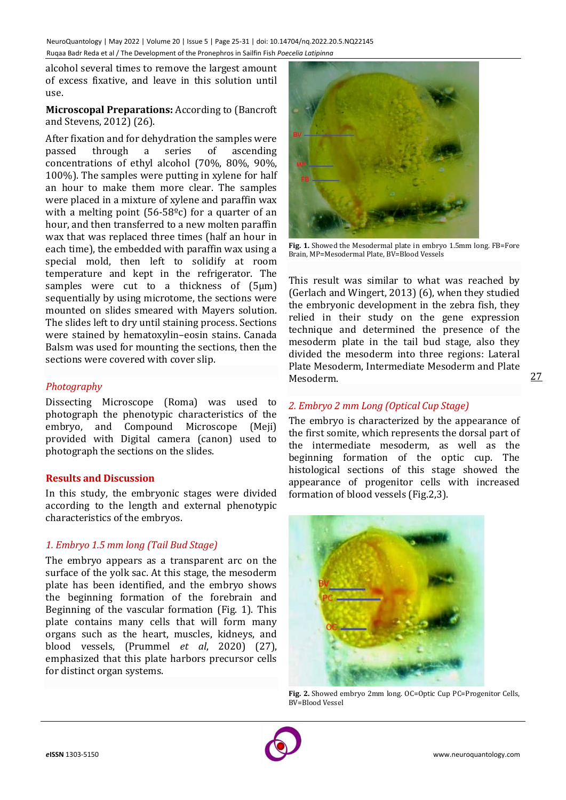alcohol several times to remove the largest amount of excess fixative, and leave in this solution until use.

**Microscopal Preparations:** According to (Bancroft and Stevens, 2012) (26).

After fixation and for dehydration the samples were passed through a series of ascending concentrations of ethyl alcohol (70%, 80%, 90%, 100%). The samples were putting in xylene for half an hour to make them more clear. The samples were placed in a mixture of xylene and paraffin wax with a melting point  $(56-58<sup>o</sup>c)$  for a quarter of an hour, and then transferred to a new molten paraffin wax that was replaced three times (half an hour in each time), the embedded with paraffin wax using a special mold, then left to solidify at room temperature and kept in the refrigerator. The samples were cut to a thickness of  $(5 \mu m)$ sequentially by using microtome, the sections were mounted on slides smeared with Mayers solution. The slides left to dry until staining process. Sections were stained by hematoxylin–eosin stains. Canada Balsm was used for mounting the sections, then the sections were covered with cover slip.

## *Photography*

Dissecting Microscope (Roma) was used to photograph the phenotypic characteristics of the embryo, and Compound Microscope (Meji) provided with Digital camera (canon) used to photograph the sections on the slides.

## **Results and Discussion**

In this study, the embryonic stages were divided according to the length and external phenotypic characteristics of the embryos.

## *1. Embryo 1.5 mm long (Tail Bud Stage)*

The embryo appears as a transparent arc on the surface of the yolk sac. At this stage, the mesoderm plate has been identified, and the embryo shows the beginning formation of the forebrain and Beginning of the vascular formation (Fig. 1). This plate contains many cells that will form many organs such as the heart, muscles, kidneys, and blood vessels, (Prummel *et al*, 2020) (27), emphasized that this plate harbors precursor cells for distinct organ systems.



**Fig. 1.** Showed the Mesodermal plate in embryo 1.5mm long. FB=Fore Brain, MP=Mesodermal Plate, BV=Blood Vessels

This result was similar to what was reached by (Gerlach and Wingert, 2013) (6), when they studied the embryonic development in the zebra fish, they relied in their study on the gene expression technique and determined the presence of the mesoderm plate in the tail bud stage, also they divided the mesoderm into three regions: Lateral Plate Mesoderm, Intermediate Mesoderm and Plate Mesoderm.

## *2. Embryo 2 mm Long (Optical Cup Stage)*

The embryo is characterized by the appearance of the first somite, which represents the dorsal part of the intermediate mesoderm, as well as the beginning formation of the optic cup. The histological sections of this stage showed the appearance of progenitor cells with increased formation of blood vessels (Fig.2,3).



**Fig. 2.** Showed embryo 2mm long. OC=Optic Cup PC=Progenitor Cells, BV=Blood Vessel

27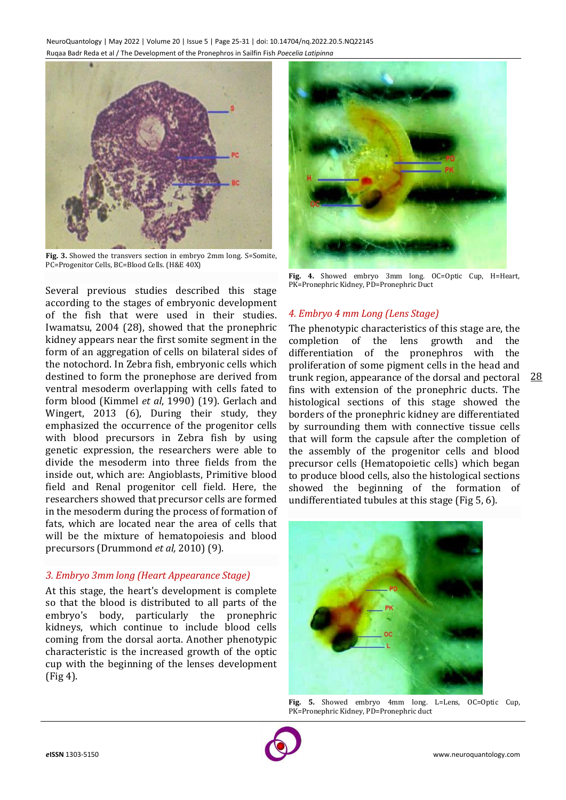

**Fig. 3.** Showed the transvers section in embryo 2mm long. S=Somite, PC=Progenitor Cells, BC=Blood Cells. (H&E 40X)

Several previous studies described this stage according to the stages of embryonic development of the fish that were used in their studies. Iwamatsu, 2004 (28), showed that the pronephric kidney appears near the first somite segment in the form of an aggregation of cells on bilateral sides of the notochord. In Zebra fish, embryonic cells which destined to form the pronephose are derived from ventral mesoderm overlapping with cells fated to form blood (Kimmel *et al*, 1990) (19). Gerlach and Wingert, 2013 (6), During their study, they emphasized the occurrence of the progenitor cells with blood precursors in Zebra fish by using genetic expression, the researchers were able to divide the mesoderm into three fields from the inside out, which are: Angioblasts, Primitive blood field and Renal progenitor cell field. Here, the researchers showed that precursor cells are formed in the mesoderm during the process of formation of fats, which are located near the area of cells that will be the mixture of hematopoiesis and blood precursors (Drummond *et al,* 2010) (9).

## *3. Embryo 3mm long (Heart Appearance Stage)*

At this stage, the heart's development is complete so that the blood is distributed to all parts of the embryo's body, particularly the pronephric kidneys, which continue to include blood cells coming from the dorsal aorta. Another phenotypic characteristic is the increased growth of the optic cup with the beginning of the lenses development (Fig 4).



**Fig. 4.** Showed embryo 3mm long. OC=Optic Cup, H=Heart, PK=Pronephric Kidney, PD=Pronephric Duct

## *4. Embryo 4 mm Long (Lens Stage)*

28 The phenotypic characteristics of this stage are, the completion of the lens growth and the differentiation of the pronephros with the proliferation of some pigment cells in the head and trunk region, appearance of the dorsal and pectoral fins with extension of the pronephric ducts. The histological sections of this stage showed the borders of the pronephric kidney are differentiated by surrounding them with connective tissue cells that will form the capsule after the completion of the assembly of the progenitor cells and blood precursor cells (Hematopoietic cells) which began to produce blood cells, also the histological sections showed the beginning of the formation of undifferentiated tubules at this stage (Fig 5, 6).



**Fig. 5.** Showed embryo 4mm long. L=Lens, OC=Optic Cup, PK=Pronephric Kidney, PD=Pronephric duct

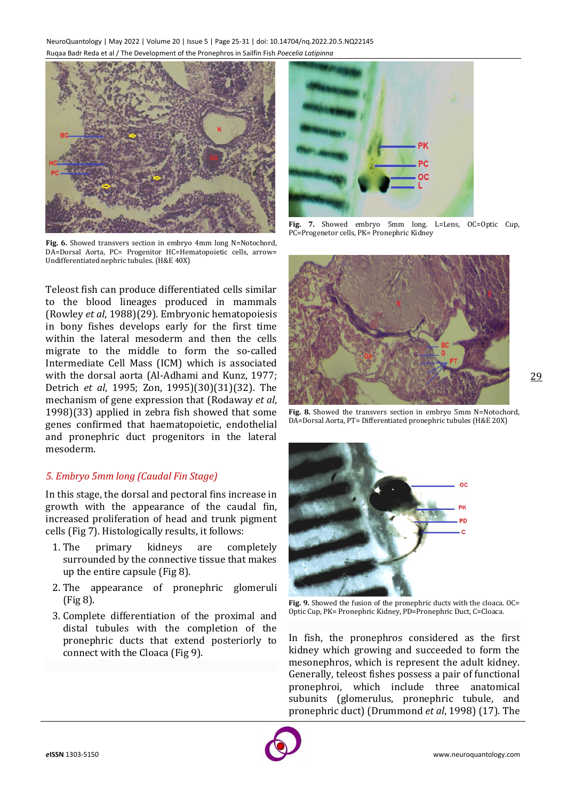NeuroQuantology | May 2022 | Volume 20 | Issue 5 | Page 25-31 | doi: 10.14704/nq.2022.20.5.NQ22145 Ruqaa Badr Reda et al / The Development of the Pronephros in Sailfin Fish *Poecelia Latipinna*



**Fig. 6.** Showed transvers section in embryo 4mm long N=Notochord, DA=Dorsal Aorta, PC= Progenitor HC=Hematopoietic cells, arrow= Undifferentiated nephric tubules. (H&E 40X)

Teleost fish can produce differentiated cells similar to the blood lineages produced in mammals (Rowley *et al*, 1988)(29). Embryonic hematopoiesis in bony fishes develops early for the first time within the lateral mesoderm and then the cells migrate to the middle to form the so-called Intermediate Cell Mass (ICM) which is associated with the dorsal aorta (Al-Adhami and Kunz, 1977; Detrich *et al*, 1995; Zon, 1995)(30)(31)(32). The mechanism of gene expression that (Rodaway *et al*, 1998)(33) applied in zebra fish showed that some genes confirmed that haematopoietic, endothelial and pronephric duct progenitors in the lateral mesoderm.

## *5. Embryo 5mm long (Caudal Fin Stage)*

In this stage, the dorsal and pectoral fins increase in growth with the appearance of the caudal fin, increased proliferation of head and trunk pigment cells (Fig 7). Histologically results, it follows:

- 1. The primary kidneys are completely surrounded by the connective tissue that makes up the entire capsule (Fig 8).
- 2. The appearance of pronephric glomeruli (Fig 8).
- 3. Complete differentiation of the proximal and distal tubules with the completion of the pronephric ducts that extend posteriorly to connect with the Cloaca (Fig 9).



**Fig. 7.** Showed embryo 5mm long. L=Lens, OC=Optic Cup, PC=Progenetor cells, PK= Pronephric Kidney



**Fig. 8.** Showed the transvers section in embryo 5mm N=Notochord, DA=Dorsal Aorta, PT= Differentiated pronephric tubules (H&E 20X)



Fig. 9. Showed the fusion of the pronephric ducts with the cloaca. OC= Optic Cup, PK= Pronephric Kidney, PD=Pronephric Duct, C=Cloaca.

In fish, the pronephros considered as the first kidney which growing and succeeded to form the mesonephros, which is represent the adult kidney. Generally, teleost fishes possess a pair of functional pronephroi, which include three anatomical subunits (glomerulus, pronephric tubule, and pronephric duct) (Drummond *et al*, 1998) (17). The

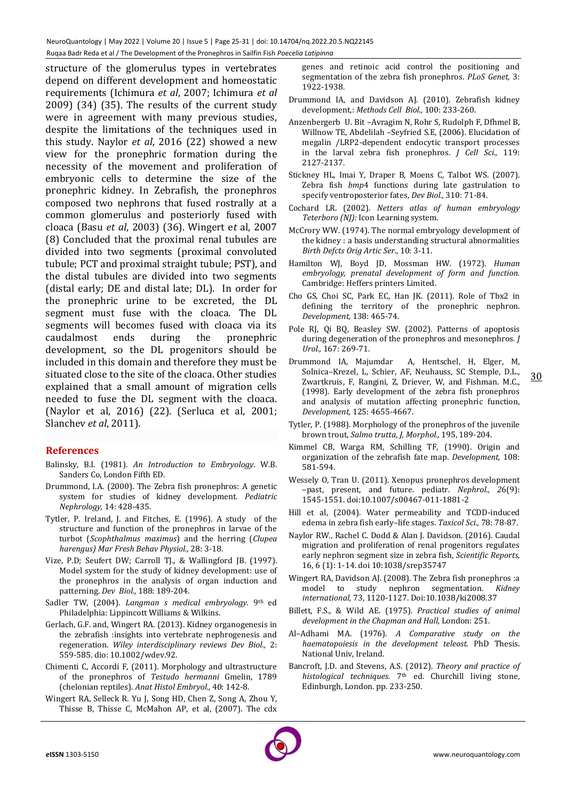structure of the glomerulus types in vertebrates depend on different development and homeostatic requirements (Ichimura *et al*, 2007; Ichimura *et al* 2009) (34) (35). The results of the current study were in agreement with many previous studies, despite the limitations of the techniques used in this study. Naylor *et al*, 2016 (22) showed a new view for the pronephric formation during the necessity of the movement and proliferation of embryonic cells to determine the size of the pronephric kidney. In Zebrafish, the pronephros composed two nephrons that fused rostrally at a common glomerulus and posteriorly fused with cloaca (Basu *et al*, 2003) (36). Wingert e*t* al, 2007 (8) Concluded that the proximal renal tubules are divided into two segments (proximal convoluted tubule; PCT and proximal straight tubule; PST), and the distal tubules are divided into two segments (distal early; DE and distal late; DL). In order for the pronephric urine to be excreted, the DL segment must fuse with the cloaca. The DL segments will becomes fused with cloaca via its caudalmost ends during the pronephric development, so the DL progenitors should be included in this domain and therefore they must be situated close to the site of the cloaca. Other studies explained that a small amount of migration cells needed to fuse the DL segment with the cloaca. (Naylor et al, 2016) (22). (Serluca et al, 2001; Slanchev *et al*, 2011).

## **References**

- Balinsky, B.I. (1981). *An Introduction to Embryology*. W.B. Sanders Co, London Fifth ED.
- Drummond, I.A. (2000). The Zebra fish pronephros: A genetic system for studies of kidney development. *Pediatric Nephrology,* 14: 428-435.
- Tytler, P. Ireland, J. and Fitches, E. (1996). A study of the structure and function of the pronephros in larvae of the turbot (*Scophthalmus maximus*) and the herring (*Clupea harengus) Mar Fresh Behav Physiol.,* 28: 3-18.
- Vize, P.D; Seufert DW; Carroll TJ., & Wallingford JB. (1997). Model system for the study of kidney development: use of the pronephros in the analysis of organ induction and patterning. *Dev Biol.,* 188: 189-204.
- Sadler TW, (2004). *Langman s medical embryology*. 9th ed Philadelphia: Lippincott Williams & Wilkins.
- Gerlach, G.F. and, Wingert RA. (2013). Kidney organogenesis in the zebrafish :insights into vertebrate nephrogenesis and regeneration. *Wiley interdisciplinary reviews Dev Biol.,* 2: 559-585. dio: 10.1002/wdev.92.
- Chimenti C, Accordi F, (2011). Morphology and ultrastructure of the pronephros of *Testudo hermanni* Gmelin, 1789 (chelonian reptiles). *Anat Histol Embryol.,* 40: 142-8.
- Wingert RA, Selleck R. Yu J, Song HD, Chen Z, Song A, Zhou Y, Thisse B, Thisse C, McMahon AP, et al, (2007). The cdx

genes and retinoic acid control the positioning and segmentation of the zebra fish pronephros. *PLoS Genet,* 3: 1922-1938.

- Drummond IA, and Davidson AJ. (2010). Zebrafish kidney development,: *Methods Cell Biol.,* 100: 233-260.
- Anzenbergerb U. Bit –Avragim N, Rohr S, Rudolph F, Dfhmel B, Willnow TE, Abdelilah –Seyfried S.E, (2006). Elucidation of megalin /LRP2-dependent endocytic transport processes in the larval zebra fish pronephros. *J Cell Sci.,* 119: 2127-2137.
- Stickney HL, Imai Y, Draper B, Moens C, Talbot WS. (2007). Zebra fish *bmp*4 functions during late gastrulation to specify ventroposterior fates, *Dev Biol.,* 310: 71-84.
- Cochard LR. (2002). *Netters atlas of human embryology Teterboro (NJ):* Icon Learning system.
- McCrory WW. (1974). The normal embryology development of the kidney : a basis understanding structural abnormalities *Birth Defcts Orig Artic Ser.,* 10: 3-11.
- Hamilton WJ, Boyd JD, Mossman HW. (1972). *Human embryology, prenatal development of form and function.* Cambridge: Heffers printers Limited.
- Cho GS, Choi SC, Park EC, Han JK. (2011). Role of Tbx2 in defining the territory of the pronephric nephron. *Development,* 138: 465-74.
- Pole RJ, Qi BQ, Beasley SW. (2002). Patterns of apoptosis during degeneration of the pronephros and mesonephros*. J Urol.,* 167: 269-71.
- Drummond IA, Majumdar A, Hentschel, H, Elger, M, Solnica–Krezel, L, Schier, AF, Neuhauss, SC Stemple, D.L., Zwartkruis, F, Rangini, Z, Driever, W, and Fishman. M.C., (1998). Early development of the zebra fish pronephros and analysis of mutation affecting pronephric function, *Development,* 125: 4655-4667.
- Tytler, P. (1988). Morphology of the pronephros of the juvenile brown trout, *Salmo trutta*, *J, Morphol.,* 195, 189-204.
- Kimmel CB, Warga RM, Schilling TF, (1990). Origin and organization of the zebrafish fate map. *Development,* 108: 581-594.
- Wessely O, Tran U. (2011). Xenopus pronephros development –past, present, and future. pediatr. *Nephrol., 2*6(9): 1545-1551. doi:10.1007/s00467-011-1881-2
- Hill et al, (2004). Water permeability and TCDD-induced edema in zebra fish early–life stages. *Taxicol Sci.,* 78: 78-87.
- Naylor RW., Rachel C. Dodd & Alan J. Davidson. (2016). Caudal migration and proliferation of renal progenitors regulates early nephron segment size in zebra fish, *Scientific Reports,* 16, 6 (1): 1-14. doi 10:1038/srep35747
- Wingert RA, Davidson AJ. (2008). The Zebra fish pronephros :a model to study nephron segmentation. *Kidney international,* 73, 1120-1127. Doi:10.1038/ki2008.37
- Billett, F.S., & Wild AE. (1975). *Practical studies of animal development in the Chapman and Hall,* London: 251.
- Al–Adhami MA. (1976). *A Comparative study on the haematopoiesis in the development teleost.* PhD Thesis. National Univ, Ireland.
- Bancroft, J.D. and Stevens, A.S. (2012). *Theory and practice of histological techniques.* 7th ed. Churchill living stone, Edinburgh, London. pp. 233-250.